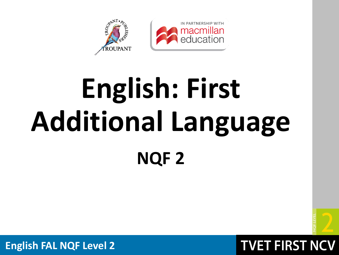

# **English: First Additional Language NQF 2**



**TVET FIRST NCV**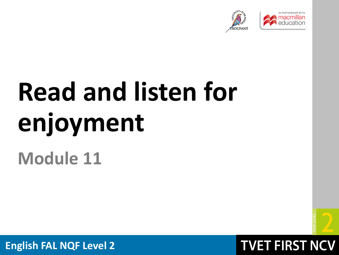



# **Read and listen for enjoyment**

## **Module 11**



### **TVET FIRST NCV**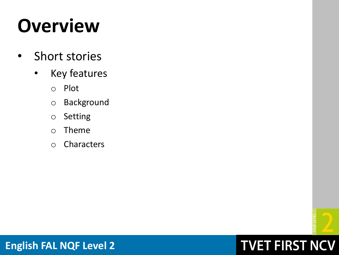# **Overview**

- Short stories
	- Key features
		- o Plot
		- o Background
		- o Setting
		- o Theme
		- o Characters



## **TVET FIRST NCV**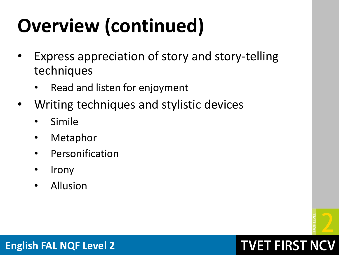# **Overview (continued)**

- Express appreciation of story and story-telling techniques
	- Read and listen for enjoyment
- Writing techniques and stylistic devices
	- **Simile**
	- **Metaphor**
	- **Personification**
	- **Irony**
	- Allusion



## **TVET FIRST NCV**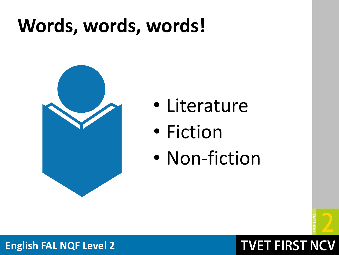# **Words, words, words!**



- Literature
- Fiction
- Non-fiction



### **TVET FIRST NCV**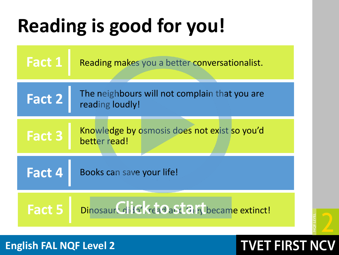# **Reading is good for you!**



### **English FAL NQF Level 2**

## **TVET FIRST NO**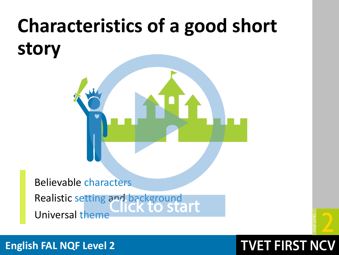# **Characteristics of a good short story**

Believable characters Realistic setting and background<br>CICK TO STAIT Universal theme

**TVET FIRST NCV**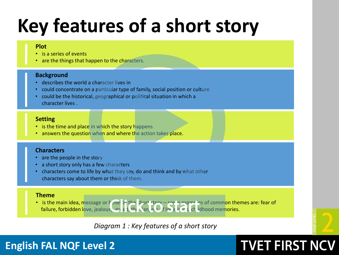# **Key features of a short story**

#### **Plot**

- is a series of events
- are the things that happen to the characters.

#### **Background**

- describes the world a character lives in
- could concentrate on a particular type of family, social position or culture
- could be the historical, geographical or political situation in which a character lives .

#### **Setting**

- is the time and place in which the story happens
- answers the question when and where the action takes place.

#### **Characters**

- are the people in the story
- a short story only has a few characters
- characters come to life by what they say, do and think and by what other characters say about them or think of them.

#### **Theme**

• is the main idea, message or helief in the short story – son a examples of common themes are: fear of failure, forbidden love, jealous, greed, the dangers of lonelines of lolong values.

*Diagram 1 : Key features of a short story*

**TVET FIRST NCV**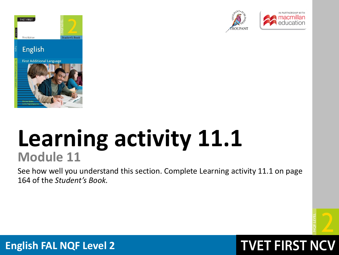

Third Edition









## **Learning activity 11.1 Module 11**

See how well you understand this section. Complete Learning activity 11.1 on page 164 of the *Student's Book.*



## **TVET FIRST NCV**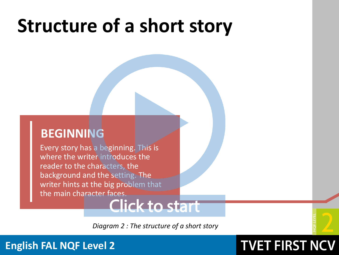### **BEGINNING**

Every story has a beginning. This is where the writer introduces the reader to the characters, the background and the setting. The writer hints at the big problem that the main character faces.

## Click to start

*Diagram 2 : The structure of a short story*

**TVET FIRST NCV**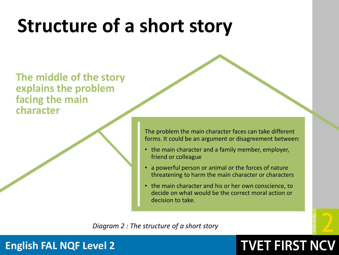**The middle of the story explains the problem facing the main character** 

> The problem the main character faces can take different forms. It could be an argument or disagreement between:

- the main character and a family member, employer, friend or colleague
- a powerful person or animal or the forces of nature threatening to harm the main character or characters
- the main character and his or her own conscience, to decide on what would be the correct moral action or decision to take.

*Diagram 2 : The structure of a short story*

**TVET FIRST NCV**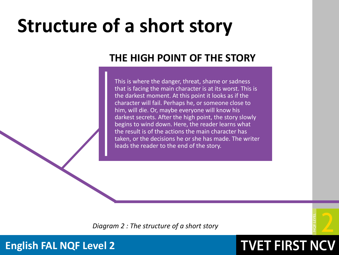### **THE HIGH POINT OF THE STORY**

This is where the danger, threat, shame or sadness that is facing the main character is at its worst. This is the darkest moment. At this point it looks as if the character will fail. Perhaps he, or someone close to him, will die. Or, maybe everyone will know his darkest secrets. After the high point, the story slowly begins to wind down. Here, the reader learns what the result is of the actions the main character has taken, or the decisions he or she has made. The writer leads the reader to the end of the story.



**TVET FIRST NCV** 

*Diagram 2 : The structure of a short story*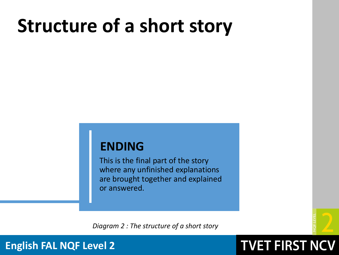### **ENDING**

This is the final part of the story where any unfinished explanations are brought together and explained or answered.

*Diagram 2 : The structure of a short story*



**TVET FIRST NCV**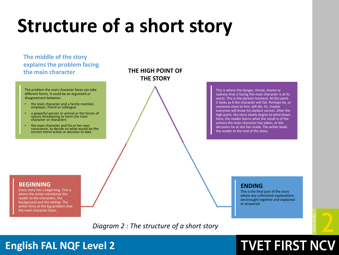#### **The middle of the story explains the problem facing the main character THE HIGH POINT OF**

The problem the main character faces can take different forms. It could be an argument or disagreement between:

- the main character and a family member, employer, friend or colleague
- a powerful person or animal or the forces of nature threatening to harm the main character or characters
- the main character and his or her own conscience, to decide on what would be the correct moral action or decision to take.

### **THE STORY**

This is where the danger, threat, shame or sadness that is facing the main character is at its worst. This is the darkest moment. At this point it looks as if the character will fail. Perhaps he, or someone close to him, will die. Or, maybe everyone will know his darkest secrets. After the high point, the story slowly begins to wind down. Here, the reader learns what the result is of the actions the main character has taken, or the decisions he or she has made. The writer leads the reader to the end of the story.

#### **BEGINNING**

Every story has a beginning. This is where the writer introduces the reader to the characters, the background and the setting. The writer hints at the big problem that the main character faces.

#### **ENDING**

This is the final part of the story where any unfinished explanations are brought together and explained or answered.

#### *Diagram 2 : The structure of a short story*

### **English FAL NQF Level 2**

## **TVET FIRST NCV**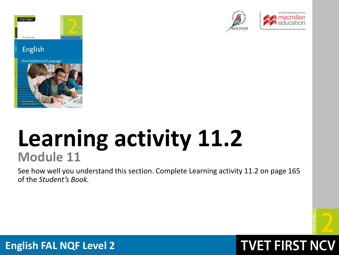

Third Edition









## **Learning activity 11.2 Module 11**

See how well you understand this section. Complete Learning activity 11.2 on page 165 of the *Student's Book.*



### **TVET FIRST NCV**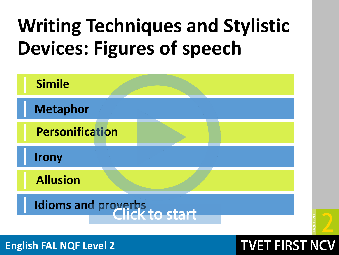# **Writing Techniques and Stylistic Devices: Figures of speech**

| <b>Simile</b>                |  |
|------------------------------|--|
| <b>Metaphor</b>              |  |
| <b>Personification</b>       |  |
| <b>Irony</b>                 |  |
| <b>Allusion</b>              |  |
| Idioms and proverbs to start |  |

**English FAL NQF Level 2**

## **TVET FIRST NCV**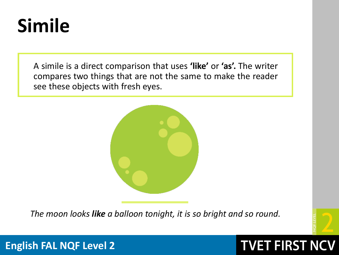# **Simile**

A simile is a direct comparison that uses **'like'** or **'as'.** The writer compares two things that are not the same to make the reader see these objects with fresh eyes.



*The moon looks like a balloon tonight, it is so bright and so round.*



**TVET FIRST NCV**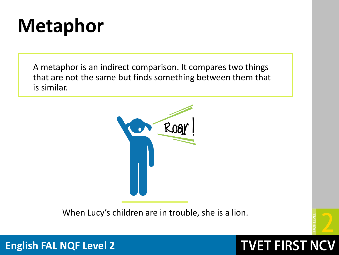# **Metaphor**

A metaphor is an indirect comparison. It compares two things that are not the same but finds something between them that is similar.



When Lucy's children are in trouble, she is a lion.



**TVET FIRST NCV**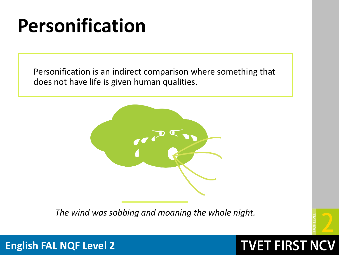# **Personification**

Personification is an indirect comparison where something that does not have life is given human qualities.



*The wind was sobbing and moaning the whole night.* 



**English FAL NQF Level 2**

## **TVET FIRST NCV**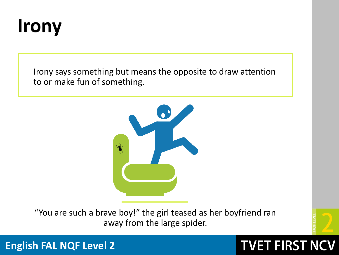

Irony says something but means the opposite to draw attention to or make fun of something.



"You are such a brave boy!" the girl teased as her boyfriend ran away from the large spider.



**TVET FIRST NCV**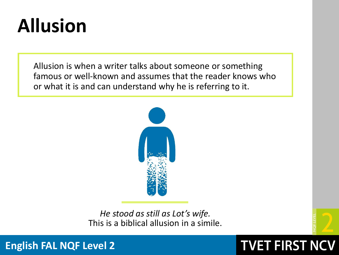# **Allusion**

Allusion is when a writer talks about someone or something famous or well-known and assumes that the reader knows who or what it is and can understand why he is referring to it.



*He stood as still as Lot's wife.* This is a biblical allusion in a simile.

**TVET FIRST NCV**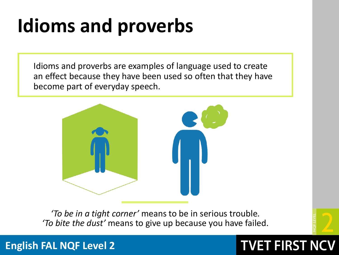# **Idioms and proverbs**

Idioms and proverbs are examples of language used to create an effect because they have been used so often that they have become part of everyday speech.



*'To be in a tight corner'* means to be in serious trouble*. 'To bite the dust'* means to give up because you have failed.

### **English FAL NQF Level 2**

## **TVET FIRST NC**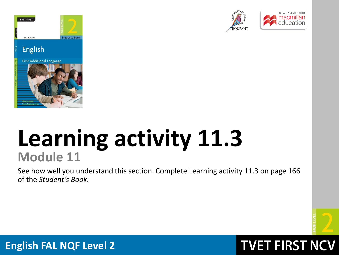

Third Edition









## **Learning activity 11.3 Module 11**

See how well you understand this section. Complete Learning activity 11.3 on page 166 of the *Student's Book.*



## **TVET FIRST NCV**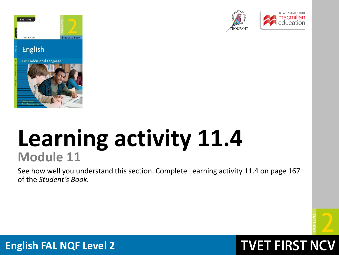

Third Edition









## **Learning activity 11.4 Module 11**

See how well you understand this section. Complete Learning activity 11.4 on page 167 of the *Student's Book.*



## **TVET FIRST NCV**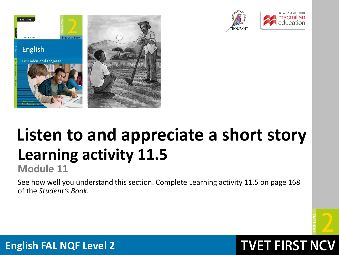







## **Learning activity 11.5 Listen to and appreciate a short story**

**Module 11**

See how well you understand this section. Complete Learning activity 11.5 on page 168 of the *Student's Book.*



**TVET FIRST NCV**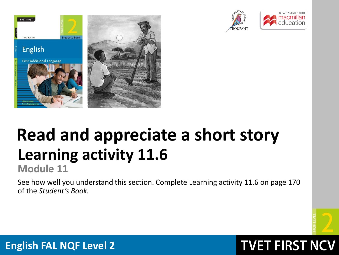







# **Learning activity 11.6 Read and appreciate a short story**

**Module 11**

See how well you understand this section. Complete Learning activity 11.6 on page 170 of the *Student's Book.*



## **TVET FIRST NCV**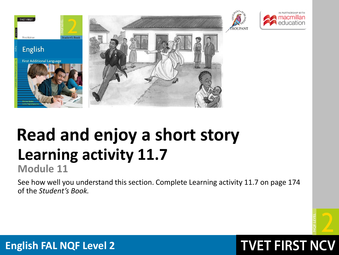







## **Learning activity 11.7 Read and enjoy a short story**

**Module 11**

See how well you understand this section. Complete Learning activity 11.7 on page 174 of the *Student's Book.*



**TVET FIRST NCV**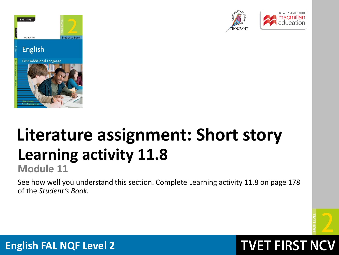





# **Learning activity 11.8 Literature assignment: Short story**

**Module 11**

See how well you understand this section. Complete Learning activity 11.8 on page 178 of the *Student's Book.*



**TVET FIRST NCV**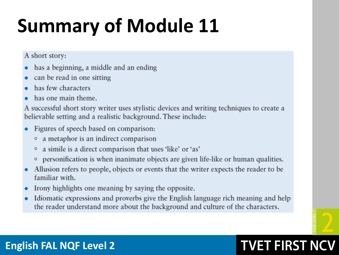# **Summary of Module 11**

A short story:

- has a beginning, a middle and an ending
- can be read in one sitting
- has few characters
- has one main theme.

A successful short story writer uses stylistic devices and writing techniques to create a believable setting and a realistic background. These include:

- Figures of speech based on comparison:
	- a metaphor is an indirect comparison
	- a simile is a direct comparison that uses 'like' or 'as'
	- o personification is when inanimate objects are given life-like or human qualities.
- Allusion refers to people, objects or events that the writer expects the reader to be familiar with.
- Irony highlights one meaning by saying the opposite.
- Idiomatic expressions and proverbs give the English language rich meaning and help the reader understand more about the background and culture of the characters.



## **TVET FIRST NCV**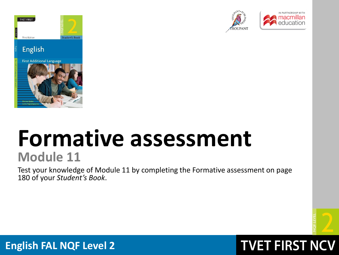

Third Edition









## **Formative assessment Module 11**

Test your knowledge of Module 11 by completing the Formative assessment on page 180 of your *Student's Book*.



### **TVET FIRST NCV**